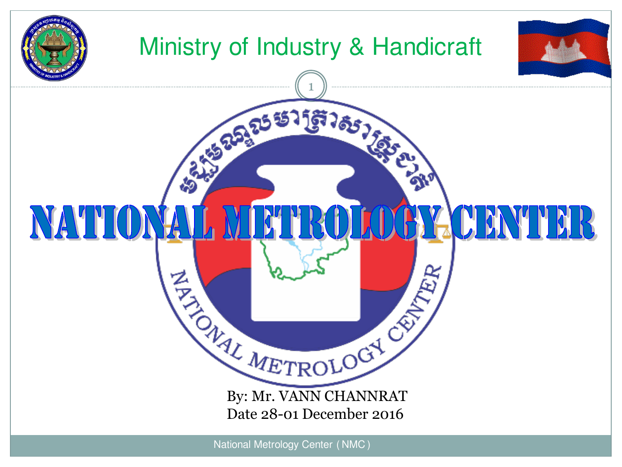

National Metrology Center (NMC)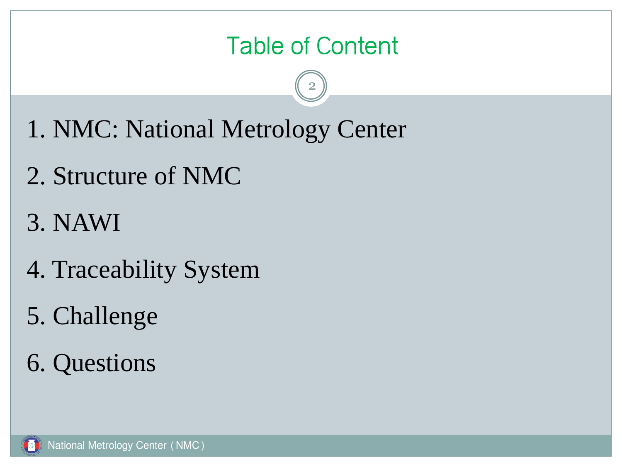#### Table of Content

- 1. NMC: National Metrology Center
- 2. Structure of NMC
- 3. NAWI
- 4. Traceability System
- 5. Challenge
- 6. Questions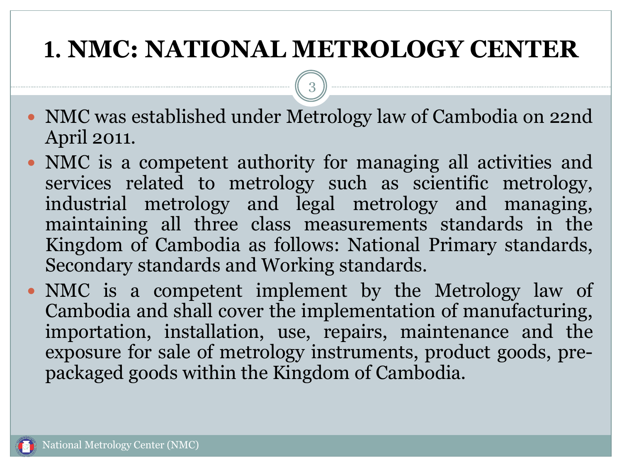### **1. NMC: NATIONAL METROLOGY CENTER**

- NMC was established under Metrology law of Cambodia on 22nd April 2011.
- NMC is a competent authority for managing all activities and services related to metrology such as scientific metrology, industrial metrology and legal metrology and managing, maintaining all three class measurements standards in the Kingdom of Cambodia as follows: National Primary standards, Secondary standards and Working standards.
- NMC is a competent implement by the Metrology law of Cambodia and shall cover the implementation of manufacturing, importation, installation, use, repairs, maintenance and the exposure for sale of metrology instruments, product goods, prepackaged goods within the Kingdom of Cambodia.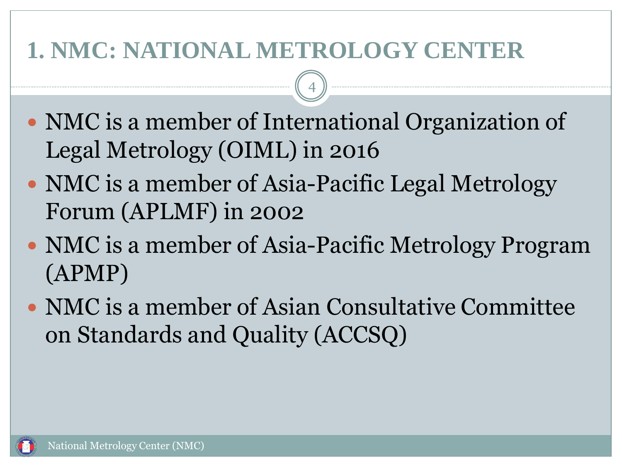#### **1. NMC: NATIONAL METROLOGY CENTER**

• NMC is a member of International Organization of Legal Metrology (OIML) in 2016

- NMC is a member of Asia-Pacific Legal Metrology Forum (APLMF) in 2002
- NMC is a member of Asia-Pacific Metrology Program (APMP)
- NMC is a member of Asian Consultative Committee on Standards and Quality (ACCSQ)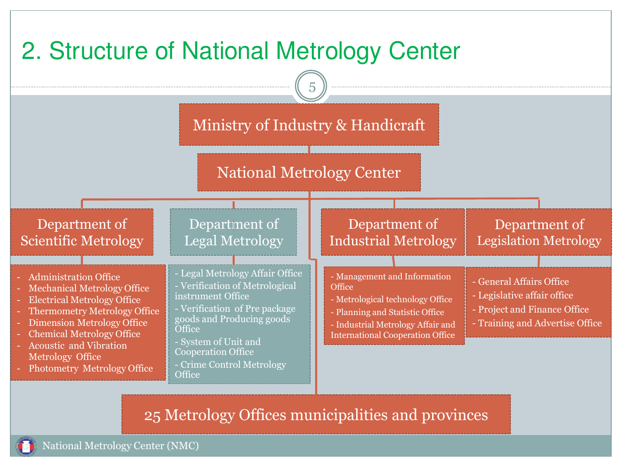

25 Metrology Offices municipalities and provinces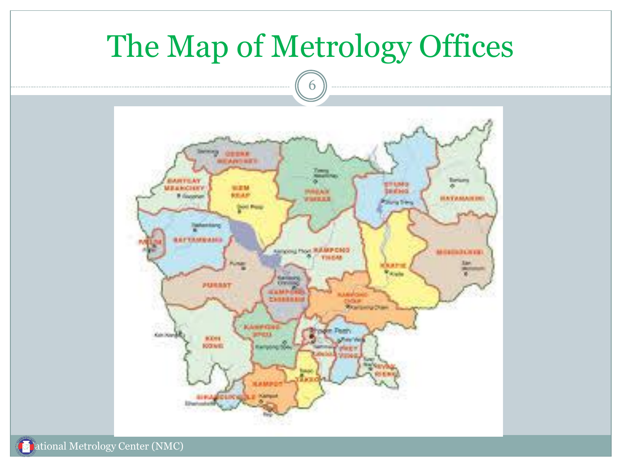

ational Metrology Center (NMC)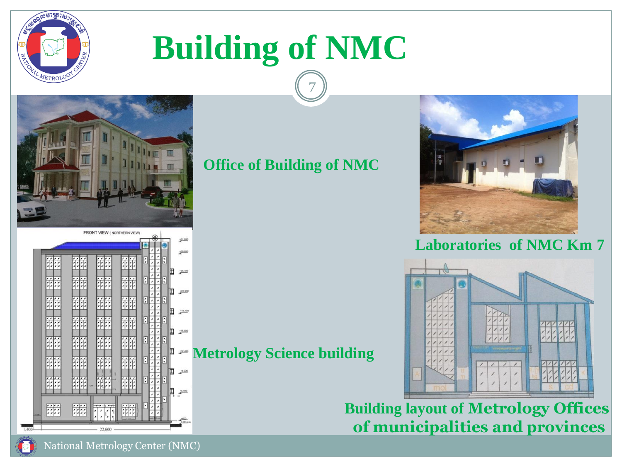

# **Building of NMC**



湔

睡

#### **Office of Building of NMC**

7

**Metrology Science building**



#### **Laboratories of NMC Km 7**



**Building layout of Metrology Offices of municipalities and provinces** 

126,400

 $+22.900$ 

 $238,400$ 

 $+15.900$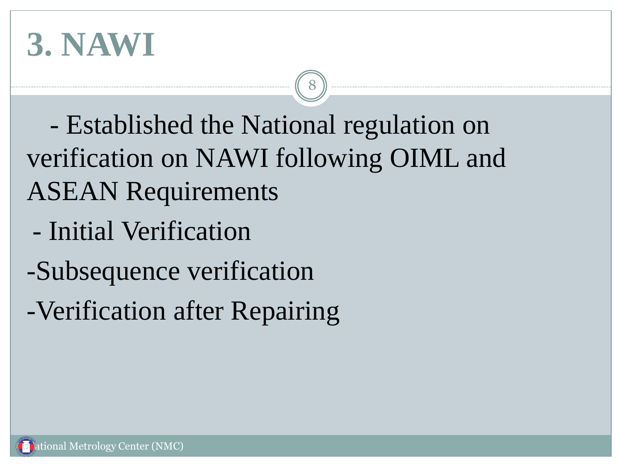## **3. NAWI**

 - Established the National regulation on verification on NAWI following OIML and ASEAN Requirements

- Initial Verification
- -Subsequence verification
- -Verification after Repairing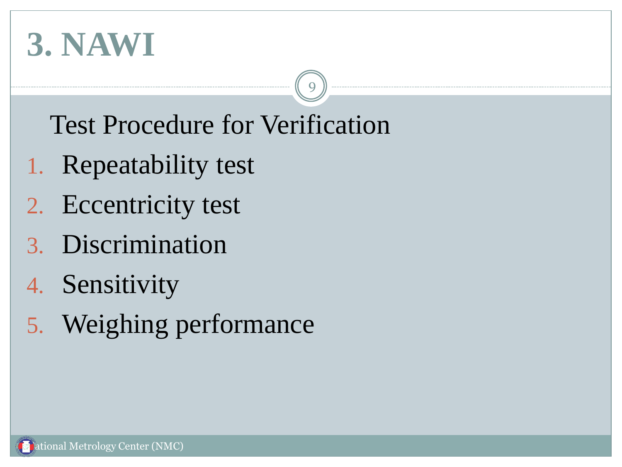## **3. NAWI**

Test Procedure for Verification

- 1. Repeatability test
- 2. Eccentricity test
- 3. Discrimination
- 4. Sensitivity
- 5. Weighing performance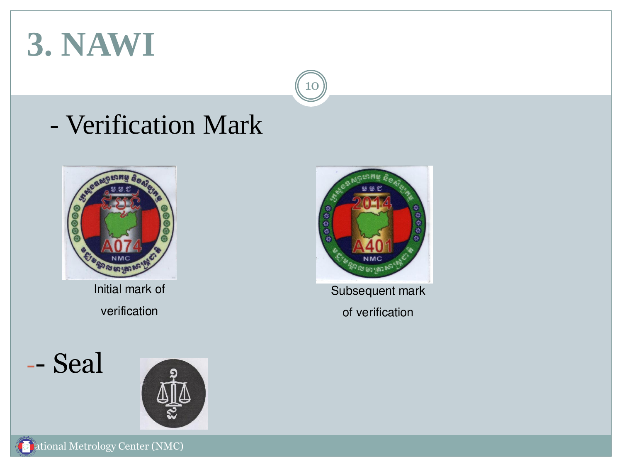## **3. NAWI**

### - Verification Mark



Initial mark of verification







Subsequent mark of verification

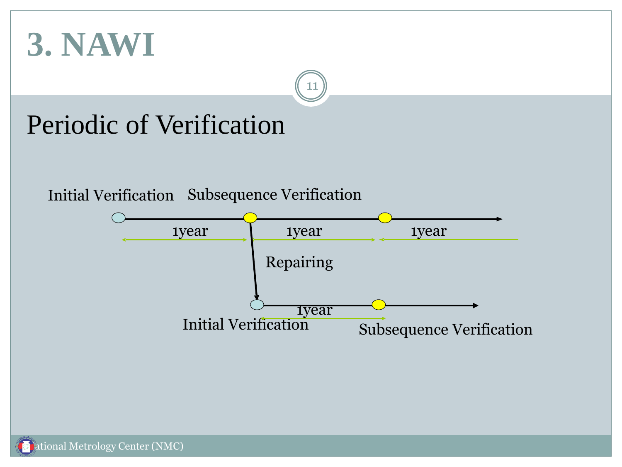

### Periodic of Verification

#### Initial Verification Subsequence Verification

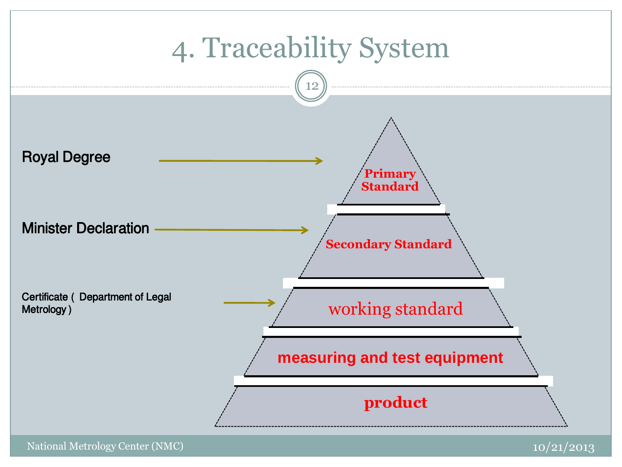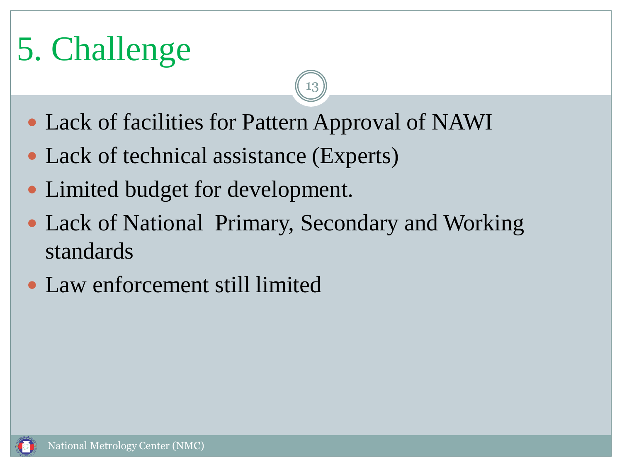# 5. Challenge

• Lack of facilities for Pattern Approval of NAWI

- Lack of technical assistance (Experts)
- Limited budget for development.
- Lack of National Primary, Secondary and Working standards
- Law enforcement still limited